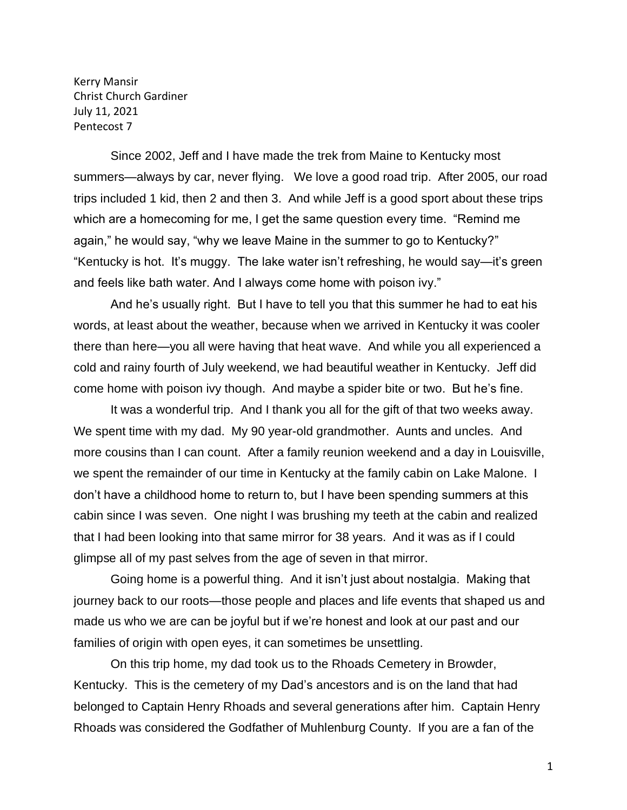Kerry Mansir Christ Church Gardiner July 11, 2021 Pentecost 7

Since 2002, Jeff and I have made the trek from Maine to Kentucky most summers—always by car, never flying. We love a good road trip. After 2005, our road trips included 1 kid, then 2 and then 3. And while Jeff is a good sport about these trips which are a homecoming for me, I get the same question every time. "Remind me again," he would say, "why we leave Maine in the summer to go to Kentucky?" "Kentucky is hot. It's muggy. The lake water isn't refreshing, he would say—it's green and feels like bath water. And I always come home with poison ivy."

And he's usually right. But I have to tell you that this summer he had to eat his words, at least about the weather, because when we arrived in Kentucky it was cooler there than here—you all were having that heat wave. And while you all experienced a cold and rainy fourth of July weekend, we had beautiful weather in Kentucky. Jeff did come home with poison ivy though. And maybe a spider bite or two. But he's fine.

It was a wonderful trip. And I thank you all for the gift of that two weeks away. We spent time with my dad. My 90 year-old grandmother. Aunts and uncles. And more cousins than I can count. After a family reunion weekend and a day in Louisville, we spent the remainder of our time in Kentucky at the family cabin on Lake Malone. I don't have a childhood home to return to, but I have been spending summers at this cabin since I was seven. One night I was brushing my teeth at the cabin and realized that I had been looking into that same mirror for 38 years. And it was as if I could glimpse all of my past selves from the age of seven in that mirror.

Going home is a powerful thing. And it isn't just about nostalgia. Making that journey back to our roots—those people and places and life events that shaped us and made us who we are can be joyful but if we're honest and look at our past and our families of origin with open eyes, it can sometimes be unsettling.

On this trip home, my dad took us to the Rhoads Cemetery in Browder, Kentucky. This is the cemetery of my Dad's ancestors and is on the land that had belonged to Captain Henry Rhoads and several generations after him. Captain Henry Rhoads was considered the Godfather of Muhlenburg County. If you are a fan of the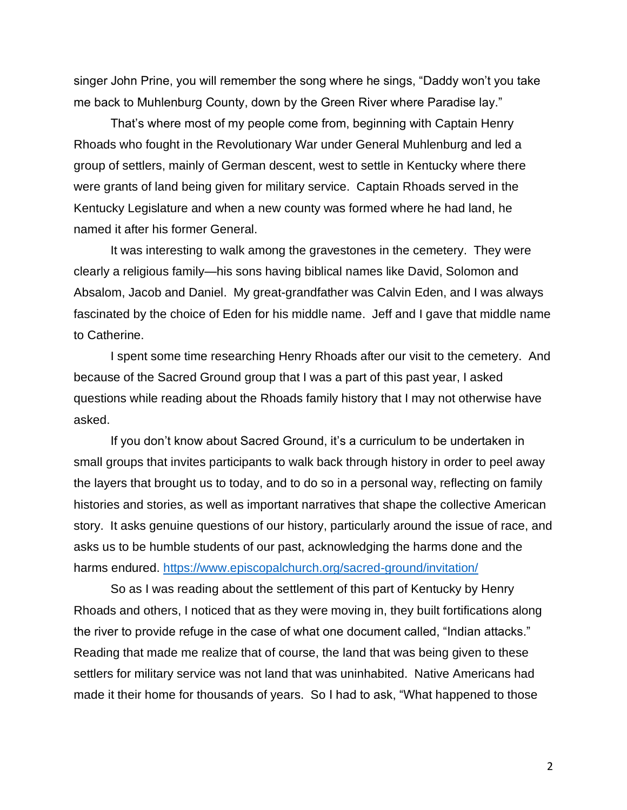singer John Prine, you will remember the song where he sings, "Daddy won't you take me back to Muhlenburg County, down by the Green River where Paradise lay."

That's where most of my people come from, beginning with Captain Henry Rhoads who fought in the Revolutionary War under General Muhlenburg and led a group of settlers, mainly of German descent, west to settle in Kentucky where there were grants of land being given for military service. Captain Rhoads served in the Kentucky Legislature and when a new county was formed where he had land, he named it after his former General.

It was interesting to walk among the gravestones in the cemetery. They were clearly a religious family—his sons having biblical names like David, Solomon and Absalom, Jacob and Daniel. My great-grandfather was Calvin Eden, and I was always fascinated by the choice of Eden for his middle name. Jeff and I gave that middle name to Catherine.

I spent some time researching Henry Rhoads after our visit to the cemetery. And because of the Sacred Ground group that I was a part of this past year, I asked questions while reading about the Rhoads family history that I may not otherwise have asked.

If you don't know about Sacred Ground, it's a curriculum to be undertaken in small groups that invites participants to walk back through history in order to peel away the layers that brought us to today, and to do so in a personal way, reflecting on family histories and stories, as well as important narratives that shape the collective American story. It asks genuine questions of our history, particularly around the issue of race, and asks us to be humble students of our past, acknowledging the harms done and the harms endured. <https://www.episcopalchurch.org/sacred-ground/invitation/>

So as I was reading about the settlement of this part of Kentucky by Henry Rhoads and others, I noticed that as they were moving in, they built fortifications along the river to provide refuge in the case of what one document called, "Indian attacks." Reading that made me realize that of course, the land that was being given to these settlers for military service was not land that was uninhabited. Native Americans had made it their home for thousands of years. So I had to ask, "What happened to those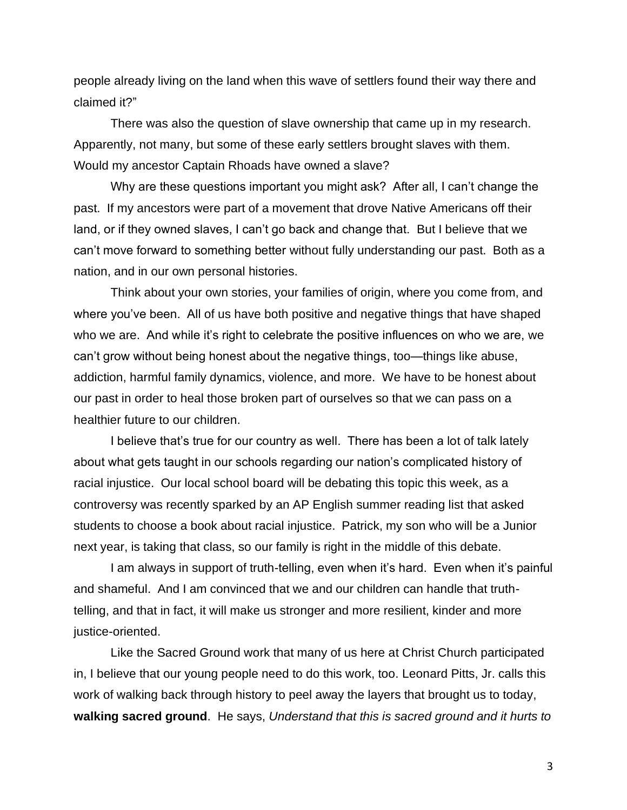people already living on the land when this wave of settlers found their way there and claimed it?"

There was also the question of slave ownership that came up in my research. Apparently, not many, but some of these early settlers brought slaves with them. Would my ancestor Captain Rhoads have owned a slave?

Why are these questions important you might ask? After all, I can't change the past. If my ancestors were part of a movement that drove Native Americans off their land, or if they owned slaves, I can't go back and change that. But I believe that we can't move forward to something better without fully understanding our past. Both as a nation, and in our own personal histories.

Think about your own stories, your families of origin, where you come from, and where you've been. All of us have both positive and negative things that have shaped who we are. And while it's right to celebrate the positive influences on who we are, we can't grow without being honest about the negative things, too—things like abuse, addiction, harmful family dynamics, violence, and more. We have to be honest about our past in order to heal those broken part of ourselves so that we can pass on a healthier future to our children.

I believe that's true for our country as well. There has been a lot of talk lately about what gets taught in our schools regarding our nation's complicated history of racial injustice. Our local school board will be debating this topic this week, as a controversy was recently sparked by an AP English summer reading list that asked students to choose a book about racial injustice. Patrick, my son who will be a Junior next year, is taking that class, so our family is right in the middle of this debate.

I am always in support of truth-telling, even when it's hard. Even when it's painful and shameful. And I am convinced that we and our children can handle that truthtelling, and that in fact, it will make us stronger and more resilient, kinder and more justice-oriented.

Like the Sacred Ground work that many of us here at Christ Church participated in, I believe that our young people need to do this work, too. Leonard Pitts, Jr. calls this work of walking back through history to peel away the layers that brought us to today, **walking sacred ground**. He says, *Understand that this is sacred ground and it hurts to*